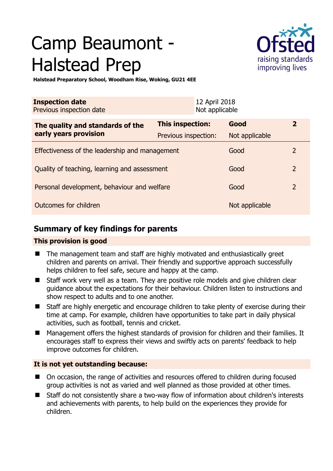# Camp Beaumont - Halstead Prep



**Halstead Preparatory School, Woodham Rise, Woking, GU21 4EE** 

| <b>Inspection date</b><br>Previous inspection date        |                      | 12 April 2018<br>Not applicable |                |                |
|-----------------------------------------------------------|----------------------|---------------------------------|----------------|----------------|
| The quality and standards of the<br>early years provision | This inspection:     |                                 | Good           | $\overline{2}$ |
|                                                           | Previous inspection: |                                 | Not applicable |                |
| Effectiveness of the leadership and management            |                      |                                 | Good           | 2              |
| Quality of teaching, learning and assessment              |                      |                                 | Good           | $\overline{2}$ |
| Personal development, behaviour and welfare               |                      |                                 | Good           | $\overline{2}$ |
| Outcomes for children                                     |                      |                                 | Not applicable |                |

# **Summary of key findings for parents**

## **This provision is good**

- The management team and staff are highly motivated and enthusiastically greet children and parents on arrival. Their friendly and supportive approach successfully helps children to feel safe, secure and happy at the camp.
- Staff work very well as a team. They are positive role models and give children clear guidance about the expectations for their behaviour. Children listen to instructions and show respect to adults and to one another.
- Staff are highly energetic and encourage children to take plenty of exercise during their time at camp. For example, children have opportunities to take part in daily physical activities, such as football, tennis and cricket.
- Management offers the highest standards of provision for children and their families. It encourages staff to express their views and swiftly acts on parents' feedback to help improve outcomes for children.

## **It is not yet outstanding because:**

- On occasion, the range of activities and resources offered to children during focused group activities is not as varied and well planned as those provided at other times.
- Staff do not consistently share a two-way flow of information about children's interests and achievements with parents, to help build on the experiences they provide for children.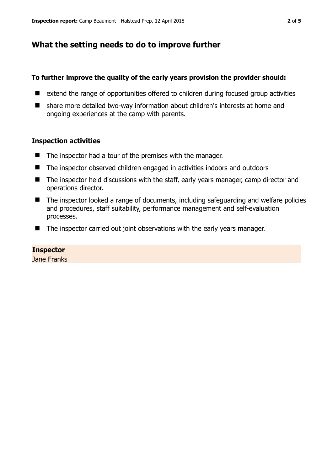# **What the setting needs to do to improve further**

#### **To further improve the quality of the early years provision the provider should:**

- extend the range of opportunities offered to children during focused group activities
- share more detailed two-way information about children's interests at home and ongoing experiences at the camp with parents.

#### **Inspection activities**

- $\blacksquare$  The inspector had a tour of the premises with the manager.
- The inspector observed children engaged in activities indoors and outdoors
- The inspector held discussions with the staff, early years manager, camp director and operations director.
- The inspector looked a range of documents, including safeguarding and welfare policies and procedures, staff suitability, performance management and self-evaluation processes.
- The inspector carried out joint observations with the early years manager.

## **Inspector**

Jane Franks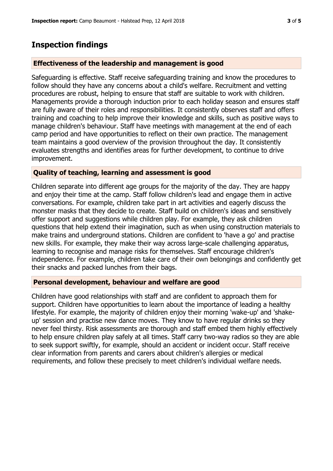## **Inspection findings**

#### **Effectiveness of the leadership and management is good**

Safeguarding is effective. Staff receive safeguarding training and know the procedures to follow should they have any concerns about a child's welfare. Recruitment and vetting procedures are robust, helping to ensure that staff are suitable to work with children. Managements provide a thorough induction prior to each holiday season and ensures staff are fully aware of their roles and responsibilities. It consistently observes staff and offers training and coaching to help improve their knowledge and skills, such as positive ways to manage children's behaviour. Staff have meetings with management at the end of each camp period and have opportunities to reflect on their own practice. The management team maintains a good overview of the provision throughout the day. It consistently evaluates strengths and identifies areas for further development, to continue to drive improvement.

#### **Quality of teaching, learning and assessment is good**

Children separate into different age groups for the majority of the day. They are happy and enjoy their time at the camp. Staff follow children's lead and engage them in active conversations. For example, children take part in art activities and eagerly discuss the monster masks that they decide to create. Staff build on children's ideas and sensitively offer support and suggestions while children play. For example, they ask children questions that help extend their imagination, such as when using construction materials to make trains and underground stations. Children are confident to 'have a go' and practise new skills. For example, they make their way across large-scale challenging apparatus, learning to recognise and manage risks for themselves. Staff encourage children's independence. For example, children take care of their own belongings and confidently get their snacks and packed lunches from their bags.

#### **Personal development, behaviour and welfare are good**

Children have good relationships with staff and are confident to approach them for support. Children have opportunities to learn about the importance of leading a healthy lifestyle. For example, the majority of children enjoy their morning 'wake-up' and 'shakeup' session and practise new dance moves. They know to have regular drinks so they never feel thirsty. Risk assessments are thorough and staff embed them highly effectively to help ensure children play safely at all times. Staff carry two-way radios so they are able to seek support swiftly, for example, should an accident or incident occur. Staff receive clear information from parents and carers about children's allergies or medical requirements, and follow these precisely to meet children's individual welfare needs.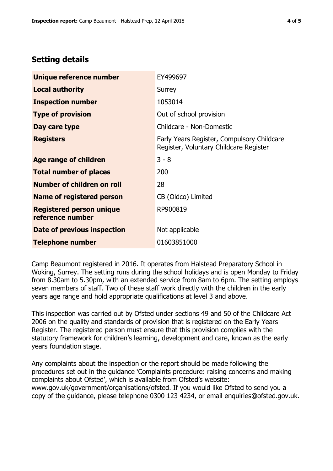## **Setting details**

| Unique reference number                             | EY499697                                                                             |  |
|-----------------------------------------------------|--------------------------------------------------------------------------------------|--|
| <b>Local authority</b>                              | Surrey                                                                               |  |
| <b>Inspection number</b>                            | 1053014                                                                              |  |
| <b>Type of provision</b>                            | Out of school provision                                                              |  |
| Day care type                                       | Childcare - Non-Domestic                                                             |  |
| <b>Registers</b>                                    | Early Years Register, Compulsory Childcare<br>Register, Voluntary Childcare Register |  |
| Age range of children                               | $3 - 8$                                                                              |  |
| <b>Total number of places</b>                       | 200                                                                                  |  |
| Number of children on roll                          | 28                                                                                   |  |
| Name of registered person                           | CB (Oldco) Limited                                                                   |  |
| <b>Registered person unique</b><br>reference number | RP900819                                                                             |  |
| <b>Date of previous inspection</b>                  | Not applicable                                                                       |  |
| <b>Telephone number</b>                             | 01603851000                                                                          |  |

Camp Beaumont registered in 2016. It operates from Halstead Preparatory School in Woking, Surrey. The setting runs during the school holidays and is open Monday to Friday from 8.30am to 5.30pm, with an extended service from 8am to 6pm. The setting employs seven members of staff. Two of these staff work directly with the children in the early years age range and hold appropriate qualifications at level 3 and above.

This inspection was carried out by Ofsted under sections 49 and 50 of the Childcare Act 2006 on the quality and standards of provision that is registered on the Early Years Register. The registered person must ensure that this provision complies with the statutory framework for children's learning, development and care, known as the early years foundation stage.

Any complaints about the inspection or the report should be made following the procedures set out in the guidance 'Complaints procedure: raising concerns and making complaints about Ofsted', which is available from Ofsted's website: www.gov.uk/government/organisations/ofsted. If you would like Ofsted to send you a copy of the guidance, please telephone 0300 123 4234, or email enquiries@ofsted.gov.uk.